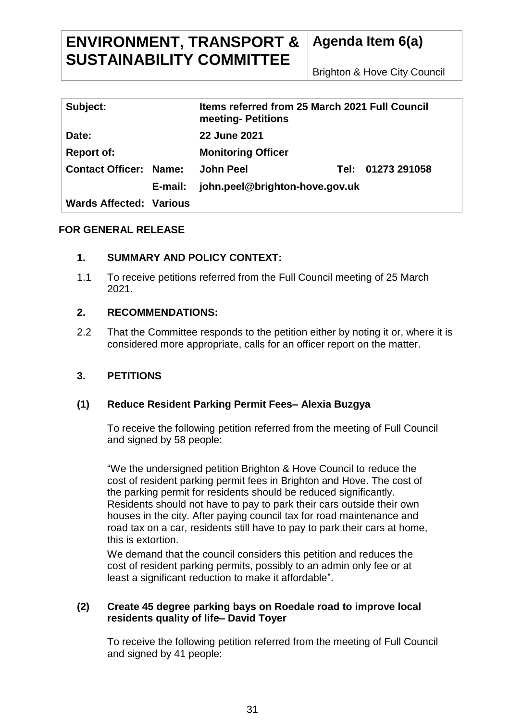# **ENVIRONMENT, TRANSPORT & SUSTAINABILITY COMMITTEE**

**Agenda Item 6(a)**

Brighton & Hove City Council

| Subject:                       |         | Items referred from 25 March 2021 Full Council<br>meeting- Petitions |  |                   |
|--------------------------------|---------|----------------------------------------------------------------------|--|-------------------|
| Date:                          |         | <b>22 June 2021</b>                                                  |  |                   |
| <b>Report of:</b>              |         | <b>Monitoring Officer</b>                                            |  |                   |
| <b>Contact Officer: Name:</b>  |         | <b>John Peel</b>                                                     |  | Tel: 01273 291058 |
|                                | E-mail: | john.peel@brighton-hove.gov.uk                                       |  |                   |
| <b>Wards Affected: Various</b> |         |                                                                      |  |                   |

## **FOR GENERAL RELEASE**

## **1. SUMMARY AND POLICY CONTEXT:**

1.1 To receive petitions referred from the Full Council meeting of 25 March 2021.

## **2. RECOMMENDATIONS:**

2.2 That the Committee responds to the petition either by noting it or, where it is considered more appropriate, calls for an officer report on the matter.

## **3. PETITIONS**

#### **(1) Reduce Resident Parking Permit Fees– Alexia Buzgya**

To receive the following petition referred from the meeting of Full Council and signed by 58 people:

"We the undersigned petition Brighton & Hove Council to reduce the cost of resident parking permit fees in Brighton and Hove. The cost of the parking permit for residents should be reduced significantly. Residents should not have to pay to park their cars outside their own houses in the city. After paying council tax for road maintenance and road tax on a car, residents still have to pay to park their cars at home, this is extortion.

We demand that the council considers this petition and reduces the cost of resident parking permits, possibly to an admin only fee or at least a significant reduction to make it affordable".

#### **(2) Create 45 degree parking bays on Roedale road to improve local residents quality of life– David Toyer**

To receive the following petition referred from the meeting of Full Council and signed by 41 people: